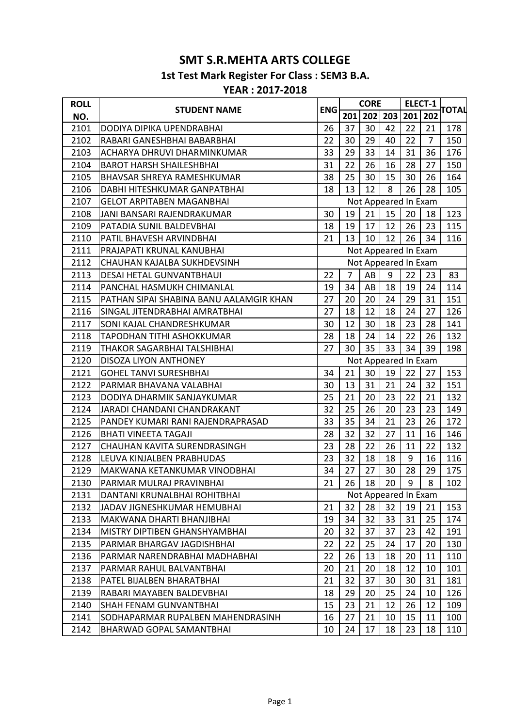## **SMT S.R.MEHTA ARTS COLLEGE**

**1st Test Mark Register For Class : SEM3 B.A.**

## **YEAR : 2017-2018**

| <b>ROLL</b> |                                         | <b>ENG</b>           | <b>CORE</b>    |                             | <b>ELECT-1</b> |     | ΤΟΤΑΙ |     |
|-------------|-----------------------------------------|----------------------|----------------|-----------------------------|----------------|-----|-------|-----|
| NO.         | <b>STUDENT NAME</b>                     |                      | 201            | 202 203                     |                | 201 | 202   |     |
| 2101        | DODIYA DIPIKA UPENDRABHAI               | 26                   | 37             | 30                          | 42             | 22  | 21    | 178 |
| 2102        | RABARI GANESHBHAI BABARBHAI             | 22                   | 30             | 29                          | 40             | 22  | 7     | 150 |
| 2103        | ACHARYA DHRUVI DHARMINKUMAR             | 33                   | 29             | 33                          | 14             | 31  | 36    | 176 |
| 2104        | <b>BAROT HARSH SHAILESHBHAI</b>         | 31                   | 22             | 26                          | 16             | 28  | 27    | 150 |
| 2105        | <b>BHAVSAR SHREYA RAMESHKUMAR</b>       | 38                   | 25             | 30                          | 15             | 30  | 26    | 164 |
| 2106        | DABHI HITESHKUMAR GANPATBHAI            | 18                   | 13             | 12                          | 8              | 26  | 28    | 105 |
| 2107        | <b>GELOT ARPITABEN MAGANBHAI</b>        |                      |                | Not Appeared In Exam        |                |     |       |     |
| 2108        | JANI BANSARI RAJENDRAKUMAR              | 30                   | 19             | 21                          | 15             | 20  | 18    | 123 |
| 2109        | PATADIA SUNIL BALDEVBHAI                | 18                   | 19             | 17                          | 12             | 26  | 23    | 115 |
| 2110        | PATIL BHAVESH ARVINDBHAI                | 21                   | 13             | 10                          | 12             | 26  | 34    | 116 |
| 2111        | PRAJAPATI KRUNAL KANUBHAI               | Not Appeared In Exam |                |                             |                |     |       |     |
| 2112        | CHAUHAN KAJALBA SUKHDEVSINH             |                      |                | Not Appeared In Exam        |                |     |       |     |
| 2113        | DESAI HETAL GUNVANTBHAUI                | 22                   | $\overline{7}$ | AB                          | 9              | 22  | 23    | 83  |
| 2114        | PANCHAL HASMUKH CHIMANLAL               | 19                   | 34             | AB                          | 18             | 19  | 24    | 114 |
| 2115        | PATHAN SIPAI SHABINA BANU AALAMGIR KHAN | 27                   | 20             | 20                          | 24             | 29  | 31    | 151 |
| 2116        | SINGAL JITENDRABHAI AMRATBHAI           | 27                   | 18             | 12                          | 18             | 24  | 27    | 126 |
| 2117        | <b>SONI KAJAL CHANDRESHKUMAR</b>        | 30                   | 12             | 30                          | 18             | 23  | 28    | 141 |
| 2118        | <b>TAPODHAN TITHI ASHOKKUMAR</b>        | 28                   | 18             | 24                          | 14             | 22  | 26    | 132 |
| 2119        | THAKOR SAGARBHAI TALSHIBHAI             | 27                   | 30             | 35                          | 33             | 34  | 39    | 198 |
| 2120        | DISOZA LIYON ANTHONEY                   |                      |                | Not Appeared In Exam        |                |     |       |     |
| 2121        | <b>GOHEL TANVI SURESHBHAI</b>           | 34                   | 21             | 30                          | 19             | 22  | 27    | 153 |
| 2122        | PARMAR BHAVANA VALABHAI                 | 30                   | 13             | 31                          | 21             | 24  | 32    | 151 |
| 2123        | DODIYA DHARMIK SANJAYKUMAR              | 25                   | 21             | 20                          | 23             | 22  | 21    | 132 |
| 2124        | JARADI CHANDANI CHANDRAKANT             | 32                   | 25             | 26                          | 20             | 23  | 23    | 149 |
| 2125        | PANDEY KUMARI RANI RAJENDRAPRASAD       | 33                   | 35             | 34                          | 21             | 23  | 26    | 172 |
| 2126        | <b>BHATI VINEETA TAGAJI</b>             | 28                   | 32             | 32                          | 27             | 11  | 16    | 146 |
| 2127        | CHAUHAN KAVITA SURENDRASINGH            | 23                   | 28             | 22                          | 26             | 11  | 22    | 132 |
| 2128        | LEUVA KINJALBEN PRABHUDAS               | 23                   | 32             | 18                          | 18             | 9   | 16    | 116 |
| 2129        | MAKWANA KETANKUMAR VINODBHAI            | 34                   | 27             | 27                          | 30             | 28  | 29    | 175 |
| 2130        | PARMAR MULRAJ PRAVINBHAI                | 21                   |                | $26 \mid 18 \mid 20 \mid 9$ |                |     | 8     | 102 |
| 2131        | DANTANI KRUNALBHAI ROHITBHAI            | Not Appeared In Exam |                |                             |                |     |       |     |
| 2132        | JADAV JIGNESHKUMAR HEMUBHAI             | 21                   | 32             | 28                          | 32             | 19  | 21    | 153 |
| 2133        | MAKWANA DHARTI BHANJIBHAI               | 19                   | 34             | 32                          | 33             | 31  | 25    | 174 |
| 2134        | MISTRY DIPTIBEN GHANSHYAMBHAI           | 20                   | 32             | 37                          | 37             | 23  | 42    | 191 |
| 2135        | PARMAR BHARGAV JAGDISHBHAI              | 22                   | 22             | 25                          | 24             | 17  | 20    | 130 |
| 2136        | PARMAR NARENDRABHAI MADHABHAI           | 22                   | 26             | 13                          | 18             | 20  | 11    | 110 |
| 2137        | PARMAR RAHUL BALVANTBHAI                | 20                   | 21             | 20                          | 18             | 12  | 10    | 101 |
| 2138        | PATEL BIJALBEN BHARATBHAI               | 21                   | 32             | 37                          | 30             | 30  | 31    | 181 |
| 2139        | RABARI MAYABEN BALDEVBHAI               | 18                   | 29             | 20                          | 25             | 24  | 10    | 126 |
| 2140        | SHAH FENAM GUNVANTBHAI                  | 15                   | 23             | 21                          | 12             | 26  | 12    | 109 |
| 2141        | SODHAPARMAR RUPALBEN MAHENDRASINH       | 16                   | 27             | 21                          | 10             | 15  | 11    | 100 |
| 2142        | BHARWAD GOPAL SAMANTBHAI                | 10                   | 24             | 17                          | 18             | 23  | 18    | 110 |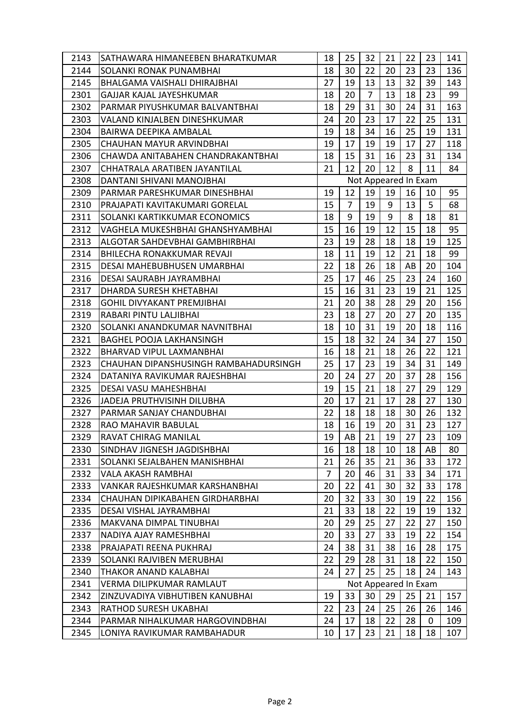| 2143 | SATHAWARA HIMANEEBEN BHARATKUMAR      | 18                                      | 25             | 32             | 21 | 22 | 23 | 141 |  |
|------|---------------------------------------|-----------------------------------------|----------------|----------------|----|----|----|-----|--|
| 2144 | SOLANKI RONAK PUNAMBHAI               | 18                                      | 30             | 22             | 20 | 23 | 23 | 136 |  |
| 2145 | BHALGAMA VAISHALI DHIRAJBHAI          | 27                                      | 19             | 13             | 13 | 32 | 39 | 143 |  |
| 2301 | GAJJAR KAJAL JAYESHKUMAR              | 18                                      | 20             | $\overline{7}$ | 13 | 18 | 23 | 99  |  |
| 2302 | PARMAR PIYUSHKUMAR BALVANTBHAI        | 18                                      | 29             | 31             | 30 | 24 | 31 | 163 |  |
| 2303 | VALAND KINJALBEN DINESHKUMAR          | 24                                      | 20             | 23             | 17 | 22 | 25 | 131 |  |
| 2304 | BAIRWA DEEPIKA AMBALAL                | 19                                      | 18             | 34             | 16 | 25 | 19 | 131 |  |
| 2305 | CHAUHAN MAYUR ARVINDBHAI              | 19                                      | 17             | 19             | 19 | 17 | 27 | 118 |  |
| 2306 | CHAWDA ANITABAHEN CHANDRAKANTBHAI     | 18                                      | 15             | 31             | 16 | 23 | 31 | 134 |  |
| 2307 | CHHATRALA ARATIBEN JAYANTILAL         | 21                                      | 12             | 20             | 12 | 8  | 11 | 84  |  |
| 2308 | DANTANI SHIVANI MANOJBHAI             | Not Appeared In Exam                    |                |                |    |    |    |     |  |
| 2309 | PARMAR PARESHKUMAR DINESHBHAI         | 19                                      | 12             | 19             | 19 | 16 | 10 | 95  |  |
| 2310 | PRAJAPATI KAVITAKUMARI GORELAL        | 15                                      | $\overline{7}$ | 19             | 9  | 13 | 5  | 68  |  |
| 2311 | SOLANKI KARTIKKUMAR ECONOMICS         | 18                                      | 9              | 19             | 9  | 8  | 18 | 81  |  |
| 2312 | VAGHELA MUKESHBHAI GHANSHYAMBHAI      | 15                                      | 16             | 19             | 12 | 15 | 18 | 95  |  |
| 2313 | ALGOTAR SAHDEVBHAI GAMBHIRBHAI        | 23                                      | 19             | 28             | 18 | 18 | 19 | 125 |  |
| 2314 | <b>BHILECHA RONAKKUMAR REVAJI</b>     | 18                                      | 11             | 19             | 12 | 21 | 18 | 99  |  |
| 2315 | DESAI MAHEBUBHUSEN UMARBHAI           | 22                                      | 18             | 26             | 18 | AB | 20 | 104 |  |
| 2316 | DESAI SAURABH JAYRAMBHAI              | 25                                      | 17             | 46             | 25 | 23 | 24 | 160 |  |
| 2317 | DHARDA SURESH KHETABHAI               | 15                                      | 16             | 31             | 23 | 19 | 21 | 125 |  |
| 2318 | <b>GOHIL DIVYAKANT PREMJIBHAI</b>     | 21                                      | 20             | 38             | 28 | 29 | 20 | 156 |  |
| 2319 | RABARI PINTU LALJIBHAI                | 23                                      | 18             | 27             | 20 | 27 | 20 | 135 |  |
| 2320 | SOLANKI ANANDKUMAR NAVNITBHAI         | 18                                      | 10             | 31             | 19 | 20 | 18 | 116 |  |
| 2321 | <b>BAGHEL POOJA LAKHANSINGH</b>       | 15                                      | 18             | 32             | 24 | 34 | 27 | 150 |  |
| 2322 | BHARVAD VIPUL LAXMANBHAI              | 16                                      | 18             | 21             | 18 | 26 | 22 | 121 |  |
| 2323 | CHAUHAN DIPANSHUSINGH RAMBAHADURSINGH | 25                                      | 17             | 23             | 19 | 34 | 31 | 149 |  |
| 2324 | DATANIYA RAVIKUMAR RAJESHBHAI         | 20                                      | 24             | 27             | 20 | 37 | 28 | 156 |  |
| 2325 | DESAI VASU MAHESHBHAI                 | 19                                      | 15             | 21             | 18 | 27 | 29 | 129 |  |
| 2326 | JADEJA PRUTHVISINH DILUBHA            | 20                                      | 17             | 21             | 17 | 28 | 27 | 130 |  |
| 2327 | PARMAR SANJAY CHANDUBHAI              | 22                                      | 18             | 18             | 18 | 30 | 26 | 132 |  |
| 2328 | RAO MAHAVIR BABULAL                   | 18                                      | 16             | 19             | 20 | 31 | 23 | 127 |  |
| 2329 | <b>RAVAT CHIRAG MANILAL</b>           | 19                                      | AB             | 21             | 19 | 27 | 23 | 109 |  |
| 2330 | SINDHAV JIGNESH JAGDISHBHAI           | 16                                      | 18             | 18             | 10 | 18 | AB | 80  |  |
| 2331 | SOLANKI SEJALBAHEN MANISHBHAI         | 21                                      | 26             | 35             | 21 | 36 | 33 | 172 |  |
| 2332 | VALA AKASH RAMBHAI                    | $\overline{7}$                          | 20             | 46             | 31 | 33 | 34 | 171 |  |
| 2333 | VANKAR RAJESHKUMAR KARSHANBHAI        | 20                                      | 22             | 41             | 30 | 32 | 33 | 178 |  |
| 2334 | CHAUHAN DIPIKABAHEN GIRDHARBHAI       | 20                                      | 32             | 33             | 30 | 19 | 22 | 156 |  |
| 2335 | DESAI VISHAL JAYRAMBHAI               | 21                                      | 33             | 18             | 22 | 19 | 19 | 132 |  |
| 2336 | MAKVANA DIMPAL TINUBHAI               | 20                                      | 29             | 25             | 27 | 22 | 27 | 150 |  |
| 2337 | NADIYA AJAY RAMESHBHAI                | 20                                      | 33             | 27             | 33 | 19 | 22 | 154 |  |
| 2338 | PRAJAPATI REENA PUKHRAJ               | 24                                      | 38             | 31             | 38 | 16 | 28 | 175 |  |
| 2339 | SOLANKI RAJVIBEN MERUBHAI             | 22                                      | 29             | 28             | 31 | 18 | 22 | 150 |  |
| 2340 | <b>THAKOR ANAND KALABHAI</b>          | 24                                      | 27             | 25             | 25 | 18 | 24 | 143 |  |
| 2341 | VERMA DILIPKUMAR RAMLAUT              | Not Appeared In Exam                    |                |                |    |    |    |     |  |
| 2342 | ZINZUVADIYA VIBHUTIBEN KANUBHAI       | 33<br>30<br>25<br>19<br>29<br>21<br>157 |                |                |    |    |    |     |  |
| 2343 | RATHOD SURESH UKABHAI                 | 22                                      | 23             | 24             | 25 | 26 | 26 | 146 |  |
| 2344 | PARMAR NIHALKUMAR HARGOVINDBHAI       | 24                                      | 17             | 18             | 22 | 28 | 0  | 109 |  |
| 2345 | LONIYA RAVIKUMAR RAMBAHADUR           | 10                                      | 17             | 23             | 21 | 18 | 18 | 107 |  |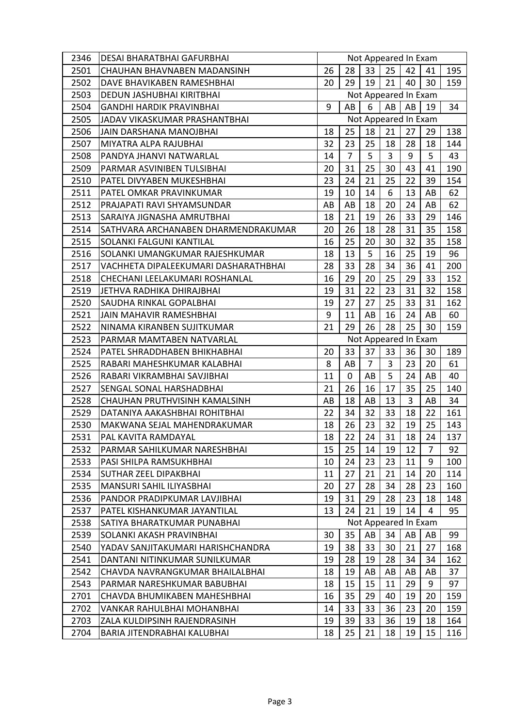| 2346 | <b>DESAI BHARATBHAI GAFURBHAI</b>    | Not Appeared In Exam                   |                |                      |                |    |                |     |
|------|--------------------------------------|----------------------------------------|----------------|----------------------|----------------|----|----------------|-----|
| 2501 | CHAUHAN BHAVNABEN MADANSINH          | 26                                     | 28             | 33                   | 25             | 42 | 41             | 195 |
| 2502 | DAVE BHAVIKABEN RAMESHBHAI           | 20                                     | 29             | 19                   | 21             | 40 | 30             | 159 |
| 2503 | DEDUN JASHUBHAI KIRITBHAI            | Not Appeared In Exam                   |                |                      |                |    |                |     |
| 2504 | <b>GANDHI HARDIK PRAVINBHAI</b>      | 9                                      | AB             | 6                    | AB             | AB | 19             | 34  |
| 2505 | JADAV VIKASKUMAR PRASHANTBHAI        | Not Appeared In Exam                   |                |                      |                |    |                |     |
| 2506 | JAIN DARSHANA MANOJBHAI              | 18                                     | 25             | 18                   | 21             | 27 | 29             | 138 |
| 2507 | MIYATRA ALPA RAJUBHAI                | 32                                     | 23             | 25                   | 18             | 28 | 18             | 144 |
| 2508 | PANDYA JHANVI NATWARLAL              | 14                                     | $\overline{7}$ | 5                    | $\overline{3}$ | 9  | 5              | 43  |
| 2509 | PARMAR ASVINIBEN TULSIBHAI           | 20                                     | 31             | 25                   | 30             | 43 | 41             | 190 |
| 2510 | PATEL DIVYABEN MUKESHBHAI            | 23                                     | 24             | 21                   | 25             | 22 | 39             | 154 |
| 2511 | PATEL OMKAR PRAVINKUMAR              | 19                                     | 10             | 14                   | 6              | 13 | AB             | 62  |
| 2512 | PRAJAPATI RAVI SHYAMSUNDAR           | AB                                     | AB             | 18                   | 20             | 24 | AB             | 62  |
| 2513 | SARAIYA JIGNASHA AMRUTBHAI           | 18                                     | 21             | 19                   | 26             | 33 | 29             | 146 |
| 2514 | SATHVARA ARCHANABEN DHARMENDRAKUMAR  | 20                                     | 26             | 18                   | 28             | 31 | 35             | 158 |
| 2515 | SOLANKI FALGUNI KANTILAL             | 16                                     | 25             | 20                   | 30             | 32 | 35             | 158 |
| 2516 | SOLANKI UMANGKUMAR RAJESHKUMAR       | 18                                     | 13             | 5                    | 16             | 25 | 19             | 96  |
| 2517 | VACHHETA DIPALEEKUMARI DASHARATHBHAI | 28                                     | 33             | 28                   | 34             | 36 | 41             | 200 |
| 2518 | CHECHANI LEELAKUMARI ROSHANLAL       | 16                                     | 29             | 20                   | 25             | 29 | 33             | 152 |
| 2519 | JETHVA RADHIKA DHIRAJBHAI            | 19                                     | 31             | 22                   | 23             | 31 | 32             | 158 |
| 2520 | SAUDHA RINKAL GOPALBHAI              | 19                                     | 27             | 27                   | 25             | 33 | 31             | 162 |
| 2521 | <b>JAIN MAHAVIR RAMESHBHAI</b>       | 9                                      | 11             | AB                   | 16             | 24 | AB             | 60  |
| 2522 | NINAMA KIRANBEN SUJITKUMAR           | 21                                     | 29             | 26                   | 28             | 25 | 30             | 159 |
| 2523 | PARMAR MAMTABEN NATVARLAL            |                                        |                | Not Appeared In Exam |                |    |                |     |
| 2524 | PATEL SHRADDHABEN BHIKHABHAI         | 20                                     | 33             | 37                   | 33             | 36 | 30             | 189 |
| 2525 | RABARI MAHESHKUMAR KALABHAI          | 8                                      | AB             | $\overline{7}$       | 3              | 23 | 20             | 61  |
| 2526 | RABARI VIKRAMBHAI SAVJIBHAI          | 11                                     | $\mathbf 0$    | AB                   | 5              | 24 | AB             | 40  |
| 2527 | SENGAL SONAL HARSHADBHAI             | 21                                     | 26             | 16                   | 17             | 35 | 25             | 140 |
| 2528 | CHAUHAN PRUTHVISINH KAMALSINH        | AB                                     | 18             | AB                   | 13             | 3  | AB             | 34  |
| 2529 | DATANIYA AAKASHBHAI ROHITBHAI        | 22                                     | 34             | 32                   | 33             | 18 | 22             | 161 |
| 2530 | MAKWANA SEJAL MAHENDRAKUMAR          | 18                                     | 26             | 23                   | 32             | 19 | 25             | 143 |
| 2531 | PAL KAVITA RAMDAYAL                  | 18                                     | 22             | 24                   | 31             | 18 | 24             | 137 |
| 2532 | PARMAR SAHILKUMAR NARESHBHAI         | 15                                     | 25             | 14                   | 19             | 12 | $\overline{7}$ | 92  |
| 2533 | PASI SHILPA RAMSUKHBHAI              | 10                                     | 24             | 23                   | 23             | 11 | 9              | 100 |
| 2534 | SUTHAR ZEEL DIPAKBHAI                | 11                                     | 27             | 21                   | 21             | 14 | 20             | 114 |
| 2535 | <b>MANSURI SAHIL ILIYASBHAI</b>      | 20                                     | 27             | 28                   | 34             | 28 | 23             | 160 |
| 2536 | PANDOR PRADIPKUMAR LAVJIBHAI         | 19                                     | 31             | 29                   | 28             | 23 | 18             | 148 |
| 2537 | PATEL KISHANKUMAR JAYANTILAL         | 13                                     | 24             | 21                   | 19             | 14 | 4              | 95  |
| 2538 | SATIYA BHARATKUMAR PUNABHAI          | Not Appeared In Exam                   |                |                      |                |    |                |     |
| 2539 | SOLANKI AKASH PRAVINBHAI             | 35<br>AB<br>30<br>34<br>AB<br>99<br>AB |                |                      |                |    |                |     |
| 2540 | YADAV SANJITAKUMARI HARISHCHANDRA    | 19                                     | 38             | 33                   | 30             | 21 | 27             | 168 |
| 2541 | DANTANI NITINKUMAR SUNILKUMAR        | 19                                     | 28             | 19                   | 28             | 34 | 34             | 162 |
| 2542 | CHAVDA NAVRANGKUMAR BHAILALBHAI      | 18                                     | 19             | AB                   | AB             | AB | AB             | 37  |
| 2543 | PARMAR NARESHKUMAR BABUBHAI          | 18                                     | 15             | 15                   | 11             | 29 | 9              | 97  |
| 2701 | CHAVDA BHUMIKABEN MAHESHBHAI         | 16                                     | 35             | 29                   | 40             | 19 | 20             | 159 |
| 2702 | VANKAR RAHULBHAI MOHANBHAI           | 14                                     | 33             | 33                   | 36             | 23 | 20             | 159 |
| 2703 | ZALA KULDIPSINH RAJENDRASINH         | 19                                     | 39             | 33                   | 36             | 19 | 18             | 164 |
| 2704 | BARIA JITENDRABHAI KALUBHAI          | 18                                     | 25             | 21                   | 18             | 19 | 15             |     |
|      |                                      |                                        |                |                      |                |    |                | 116 |